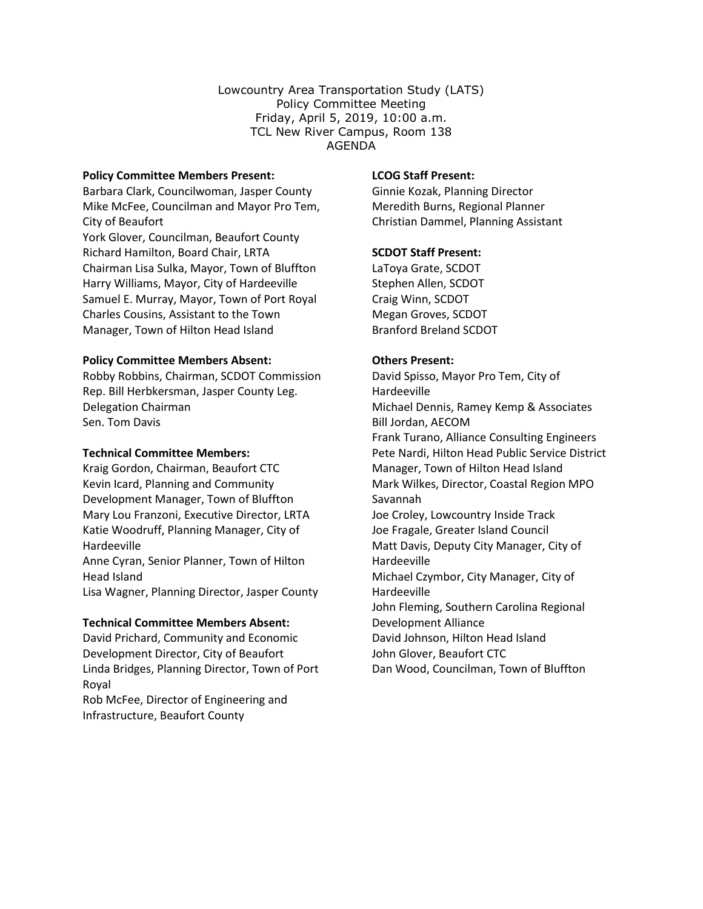Lowcountry Area Transportation Study (LATS) Policy Committee Meeting Friday, April 5, 2019, 10:00 a.m. TCL New River Campus, Room 138 AGENDA

#### **Policy Committee Members Present:**

Barbara Clark, Councilwoman, Jasper County Mike McFee, Councilman and Mayor Pro Tem, City of Beaufort York Glover, Councilman, Beaufort County Richard Hamilton, Board Chair, LRTA Chairman Lisa Sulka, Mayor, Town of Bluffton Harry Williams, Mayor, City of Hardeeville Samuel E. Murray, Mayor, Town of Port Royal Charles Cousins, Assistant to the Town Manager, Town of Hilton Head Island

# **Policy Committee Members Absent:**

Robby Robbins, Chairman, SCDOT Commission Rep. Bill Herbkersman, Jasper County Leg. Delegation Chairman Sen. Tom Davis

## **Technical Committee Members:**

Kraig Gordon, Chairman, Beaufort CTC Kevin Icard, Planning and Community Development Manager, Town of Bluffton Mary Lou Franzoni, Executive Director, LRTA Katie Woodruff, Planning Manager, City of Hardeeville

Anne Cyran, Senior Planner, Town of Hilton Head Island

Lisa Wagner, Planning Director, Jasper County

#### **Technical Committee Members Absent:**

David Prichard, Community and Economic Development Director, City of Beaufort Linda Bridges, Planning Director, Town of Port Royal

Rob McFee, Director of Engineering and Infrastructure, Beaufort County

## **LCOG Staff Present:**

Ginnie Kozak, Planning Director Meredith Burns, Regional Planner Christian Dammel, Planning Assistant

# **SCDOT Staff Present:**

LaToya Grate, SCDOT Stephen Allen, SCDOT Craig Winn, SCDOT Megan Groves, SCDOT Branford Breland SCDOT

# **Others Present:**

David Spisso, Mayor Pro Tem, City of Hardeeville Michael Dennis, Ramey Kemp & Associates Bill Jordan, AECOM Frank Turano, Alliance Consulting Engineers Pete Nardi, Hilton Head Public Service District Manager, Town of Hilton Head Island Mark Wilkes, Director, Coastal Region MPO Savannah Joe Croley, Lowcountry Inside Track Joe Fragale, Greater Island Council Matt Davis, Deputy City Manager, City of Hardeeville Michael Czymbor, City Manager, City of Hardeeville John Fleming, Southern Carolina Regional Development Alliance David Johnson, Hilton Head Island John Glover, Beaufort CTC Dan Wood, Councilman, Town of Bluffton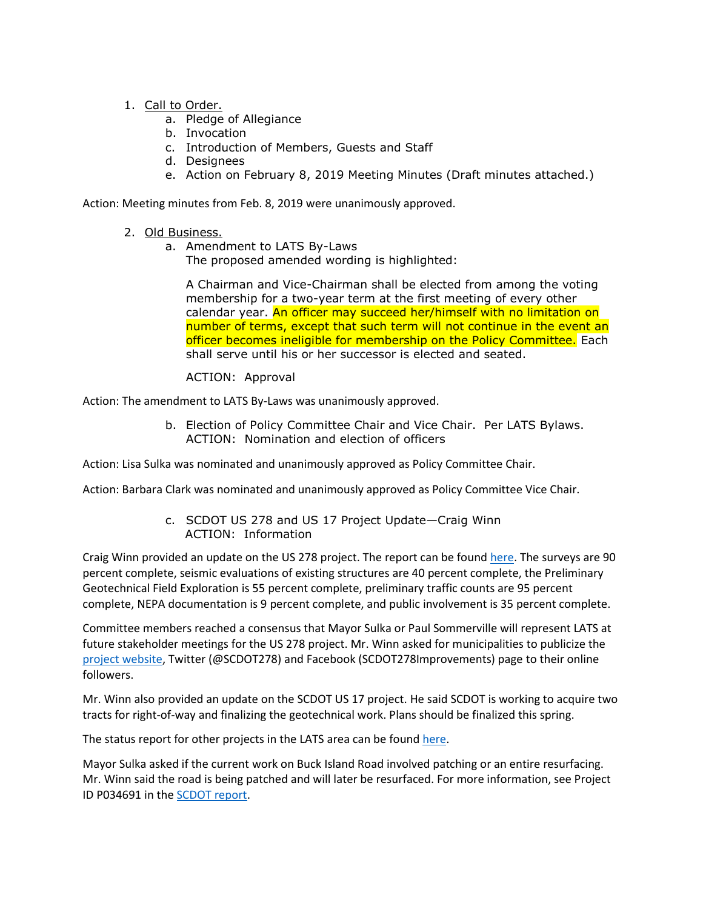- 1. Call to Order.
	- a. Pledge of Allegiance
	- b. Invocation
	- c. Introduction of Members, Guests and Staff
	- d. Designees
	- e. Action on February 8, 2019 Meeting Minutes (Draft minutes attached.)

Action: Meeting minutes from Feb. 8, 2019 were unanimously approved.

- 2. Old Business.
	- a. Amendment to LATS By-Laws

The proposed amended wording is highlighted:

A Chairman and Vice-Chairman shall be elected from among the voting membership for a two-year term at the first meeting of every other calendar year. An officer may succeed her/himself with no limitation on number of terms, except that such term will not continue in the event an officer becomes ineligible for membership on the Policy Committee. Each shall serve until his or her successor is elected and seated.

# ACTION: Approval

Action: The amendment to LATS By-Laws was unanimously approved.

b. Election of Policy Committee Chair and Vice Chair. Per LATS Bylaws. ACTION: Nomination and election of officers

Action: Lisa Sulka was nominated and unanimously approved as Policy Committee Chair.

Action: Barbara Clark was nominated and unanimously approved as Policy Committee Vice Chair.

c. SCDOT US 278 and US 17 Project Update—Craig Winn ACTION: Information

Craig Winn provided an update on the US 278 project. The report can be found [here.](http://www.lowcountrycog.org/2019-04-03%20US%20278%20Project%20Status.pdf) The surveys are 90 percent complete, seismic evaluations of existing structures are 40 percent complete, the Preliminary Geotechnical Field Exploration is 55 percent complete, preliminary traffic counts are 95 percent complete, NEPA documentation is 9 percent complete, and public involvement is 35 percent complete.

Committee members reached a consensus that Mayor Sulka or Paul Sommerville will represent LATS at future stakeholder meetings for the US 278 project. Mr. Winn asked for municipalities to publicize the [project website,](https://www.scdot278corridor.com/#comment) Twitter (@SCDOT278) and Facebook (SCDOT278Improvements) page to their online followers.

Mr. Winn also provided an update on the SCDOT US 17 project. He said SCDOT is working to acquire two tracts for right-of-way and finalizing the geotechnical work. Plans should be finalized this spring.

The status report for other projects in the LATS area can be found [here.](http://www.lowcountrycog.org/LATS%20-%20SCDOT%20Project%20Status%20Report%20-04.05.2019.pdf)

Mayor Sulka asked if the current work on Buck Island Road involved patching or an entire resurfacing. Mr. Winn said the road is being patched and will later be resurfaced. For more information, see Project ID P034691 in the [SCDOT report.](http://www.lowcountrycog.org/LATS%20-%20SCDOT%20Project%20Status%20Report%20-04.05.2019.pdf)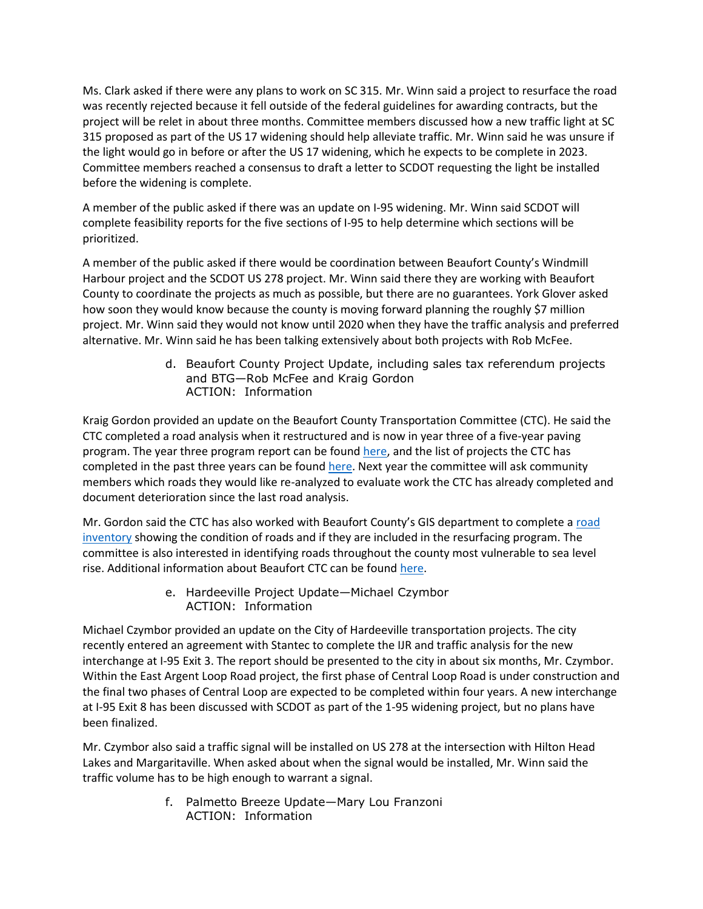Ms. Clark asked if there were any plans to work on SC 315. Mr. Winn said a project to resurface the road was recently rejected because it fell outside of the federal guidelines for awarding contracts, but the project will be relet in about three months. Committee members discussed how a new traffic light at SC 315 proposed as part of the US 17 widening should help alleviate traffic. Mr. Winn said he was unsure if the light would go in before or after the US 17 widening, which he expects to be complete in 2023. Committee members reached a consensus to draft a letter to SCDOT requesting the light be installed before the widening is complete.

A member of the public asked if there was an update on I-95 widening. Mr. Winn said SCDOT will complete feasibility reports for the five sections of I-95 to help determine which sections will be prioritized.

A member of the public asked if there would be coordination between Beaufort County's Windmill Harbour project and the SCDOT US 278 project. Mr. Winn said there they are working with Beaufort County to coordinate the projects as much as possible, but there are no guarantees. York Glover asked how soon they would know because the county is moving forward planning the roughly \$7 million project. Mr. Winn said they would not know until 2020 when they have the traffic analysis and preferred alternative. Mr. Winn said he has been talking extensively about both projects with Rob McFee.

> d. Beaufort County Project Update, including sales tax referendum projects and BTG—Rob McFee and Kraig Gordon ACTION: Information

Kraig Gordon provided an update on the Beaufort County Transportation Committee (CTC). He said the CTC completed a road analysis when it restructured and is now in year three of a five-year paving program. The year three program report can be found [here,](http://www.lowcountrycog.org/Beaufort%20County%20Retreat%20PP%202019%20R2.pdf) and the list of projects the CTC has completed in the past three years can be found [here.](https://www.bcgov.net/departments/Administrative/beaufort-county-council/boards-and-commissions/council-appointed/board-list/county-transportation-committee/c-fund-active-projects.pdf) Next year the committee will ask community members which roads they would like re-analyzed to evaluate work the CTC has already completed and document deterioration since the last road analysis.

Mr. Gordon said the CTC has also worked with Beaufort County's GIS department to complete a road [inventory](https://bcscgis.maps.arcgis.com/apps/View/index.html?appid=99e060ffdac3427784fcb0cefa817752) showing the condition of roads and if they are included in the resurfacing program. The committee is also interested in identifying roads throughout the county most vulnerable to sea level rise. Additional information about Beaufort CTC can be foun[d here.](https://www.bcgov.net/departments/Administrative/beaufort-county-council/boards-and-commissions/council-appointed/board-list/county-transportation-committee/index.php)

> e. Hardeeville Project Update—Michael Czymbor ACTION: Information

Michael Czymbor provided an update on the City of Hardeeville transportation projects. The city recently entered an agreement with Stantec to complete the IJR and traffic analysis for the new interchange at I-95 Exit 3. The report should be presented to the city in about six months, Mr. Czymbor. Within the East Argent Loop Road project, the first phase of Central Loop Road is under construction and the final two phases of Central Loop are expected to be completed within four years. A new interchange at I-95 Exit 8 has been discussed with SCDOT as part of the 1-95 widening project, but no plans have been finalized.

Mr. Czymbor also said a traffic signal will be installed on US 278 at the intersection with Hilton Head Lakes and Margaritaville. When asked about when the signal would be installed, Mr. Winn said the traffic volume has to be high enough to warrant a signal.

> f. Palmetto Breeze Update—Mary Lou Franzoni ACTION: Information